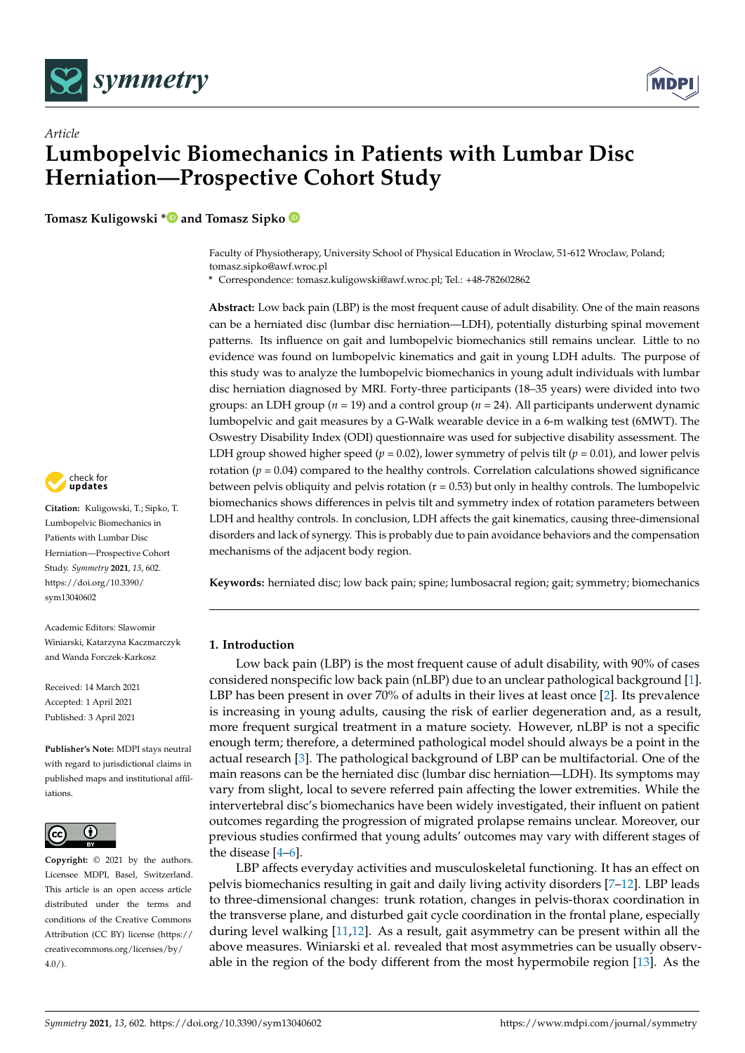



**Tomasz Kuligowski [\\*](https://orcid.org/0000-0002-5673-3444) and Tomasz Sipko**

Faculty of Physiotherapy, University School of Physical Education in Wroclaw, 51-612 Wroclaw, Poland; tomasz.sipko@awf.wroc.pl

**\*** Correspondence: tomasz.kuligowski@awf.wroc.pl; Tel.: +48-782602862

**Abstract:** Low back pain (LBP) is the most frequent cause of adult disability. One of the main reasons can be a herniated disc (lumbar disc herniation—LDH), potentially disturbing spinal movement patterns. Its influence on gait and lumbopelvic biomechanics still remains unclear. Little to no evidence was found on lumbopelvic kinematics and gait in young LDH adults. The purpose of this study was to analyze the lumbopelvic biomechanics in young adult individuals with lumbar disc herniation diagnosed by MRI. Forty-three participants (18–35 years) were divided into two groups: an LDH group (*n* = 19) and a control group (*n* = 24). All participants underwent dynamic lumbopelvic and gait measures by a G-Walk wearable device in a 6-m walking test (6MWT). The Oswestry Disability Index (ODI) questionnaire was used for subjective disability assessment. The LDH group showed higher speed ( $p = 0.02$ ), lower symmetry of pelvis tilt ( $p = 0.01$ ), and lower pelvis rotation ( $p = 0.04$ ) compared to the healthy controls. Correlation calculations showed significance between pelvis obliquity and pelvis rotation  $(r = 0.53)$  but only in healthy controls. The lumbopelvic biomechanics shows differences in pelvis tilt and symmetry index of rotation parameters between LDH and healthy controls. In conclusion, LDH affects the gait kinematics, causing three-dimensional disorders and lack of synergy. This is probably due to pain avoidance behaviors and the compensation mechanisms of the adjacent body region.

**Keywords:** herniated disc; low back pain; spine; lumbosacral region; gait; symmetry; biomechanics

# **1. Introduction**

Low back pain (LBP) is the most frequent cause of adult disability, with 90% of cases considered nonspecific low back pain (nLBP) due to an unclear pathological background [\[1\]](#page-6-0). LBP has been present in over 70% of adults in their lives at least once [\[2\]](#page-6-1). Its prevalence is increasing in young adults, causing the risk of earlier degeneration and, as a result, more frequent surgical treatment in a mature society. However, nLBP is not a specific enough term; therefore, a determined pathological model should always be a point in the actual research [\[3\]](#page-6-2). The pathological background of LBP can be multifactorial. One of the main reasons can be the herniated disc (lumbar disc herniation—LDH). Its symptoms may vary from slight, local to severe referred pain affecting the lower extremities. While the intervertebral disc's biomechanics have been widely investigated, their influent on patient outcomes regarding the progression of migrated prolapse remains unclear. Moreover, our previous studies confirmed that young adults' outcomes may vary with different stages of the disease [\[4](#page-6-3)[–6\]](#page-6-4).

LBP affects everyday activities and musculoskeletal functioning. It has an effect on pelvis biomechanics resulting in gait and daily living activity disorders [\[7–](#page-6-5)[12\]](#page-6-6). LBP leads to three-dimensional changes: trunk rotation, changes in pelvis-thorax coordination in the transverse plane, and disturbed gait cycle coordination in the frontal plane, especially during level walking [\[11,](#page-6-7)[12\]](#page-6-6). As a result, gait asymmetry can be present within all the above measures. Winiarski et al. revealed that most asymmetries can be usually observable in the region of the body different from the most hypermobile region [\[13\]](#page-6-8). As the



**Citation:** Kuligowski, T.; Sipko, T. Lumbopelvic Biomechanics in Patients with Lumbar Disc Herniation—Prospective Cohort Study. *Symmetry* **2021**, *13*, 602. [https://doi.org/10.3390/](https://doi.org/10.3390/sym13040602) [sym13040602](https://doi.org/10.3390/sym13040602)

Academic Editors: Slawomir Winiarski, Katarzyna Kaczmarczyk and Wanda Forczek-Karkosz

Received: 14 March 2021 Accepted: 1 April 2021 Published: 3 April 2021

**Publisher's Note:** MDPI stays neutral with regard to jurisdictional claims in published maps and institutional affiliations.



**Copyright:** © 2021 by the authors. Licensee MDPI, Basel, Switzerland. This article is an open access article distributed under the terms and conditions of the Creative Commons Attribution (CC BY) license (https:/[/](https://creativecommons.org/licenses/by/4.0/) [creativecommons.org/licenses/by/](https://creativecommons.org/licenses/by/4.0/)  $4.0/$ ).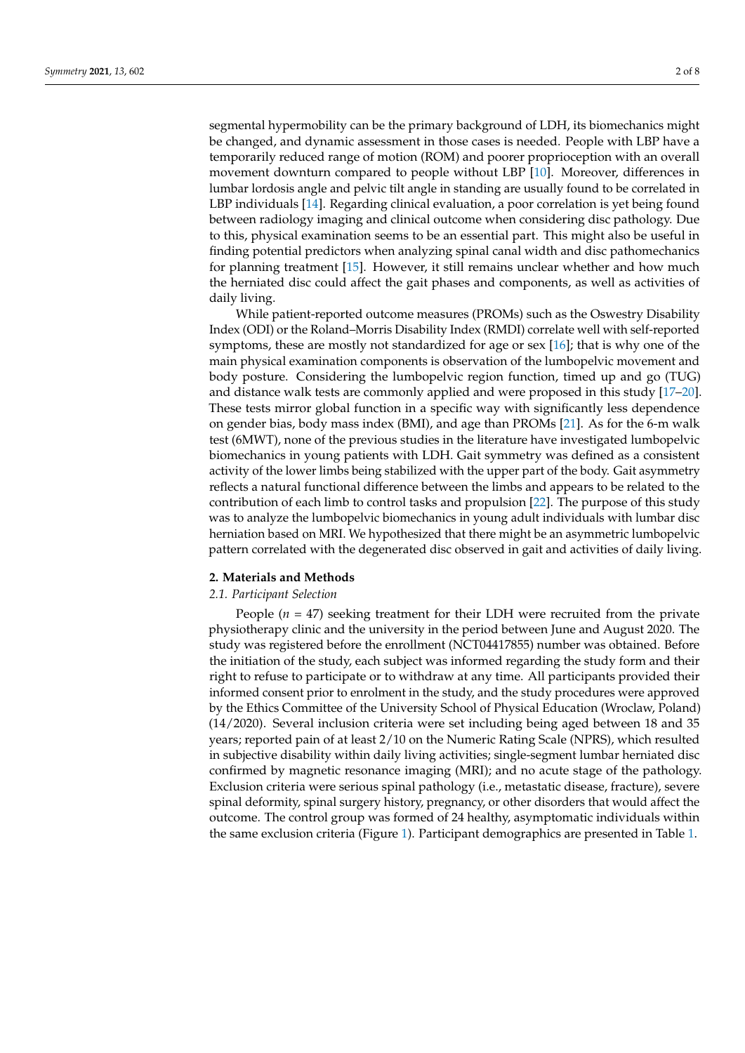segmental hypermobility can be the primary background of LDH, its biomechanics might be changed, and dynamic assessment in those cases is needed. People with LBP have a temporarily reduced range of motion (ROM) and poorer proprioception with an overall movement downturn compared to people without LBP [\[10\]](#page-6-9). Moreover, differences in lumbar lordosis angle and pelvic tilt angle in standing are usually found to be correlated in LBP individuals [\[14\]](#page-6-10). Regarding clinical evaluation, a poor correlation is yet being found between radiology imaging and clinical outcome when considering disc pathology. Due to this, physical examination seems to be an essential part. This might also be useful in finding potential predictors when analyzing spinal canal width and disc pathomechanics for planning treatment [\[15\]](#page-6-11). However, it still remains unclear whether and how much the herniated disc could affect the gait phases and components, as well as activities of daily living.

While patient-reported outcome measures (PROMs) such as the Oswestry Disability Index (ODI) or the Roland–Morris Disability Index (RMDI) correlate well with self-reported symptoms, these are mostly not standardized for age or sex [\[16\]](#page-6-12); that is why one of the main physical examination components is observation of the lumbopelvic movement and body posture. Considering the lumbopelvic region function, timed up and go (TUG) and distance walk tests are commonly applied and were proposed in this study [\[17](#page-6-13)[–20\]](#page-6-14). These tests mirror global function in a specific way with significantly less dependence on gender bias, body mass index (BMI), and age than PROMs [\[21\]](#page-6-15). As for the 6-m walk test (6MWT), none of the previous studies in the literature have investigated lumbopelvic biomechanics in young patients with LDH. Gait symmetry was defined as a consistent activity of the lower limbs being stabilized with the upper part of the body. Gait asymmetry reflects a natural functional difference between the limbs and appears to be related to the contribution of each limb to control tasks and propulsion [\[22\]](#page-6-16). The purpose of this study was to analyze the lumbopelvic biomechanics in young adult individuals with lumbar disc herniation based on MRI. We hypothesized that there might be an asymmetric lumbopelvic pattern correlated with the degenerated disc observed in gait and activities of daily living.

### **2. Materials and Methods**

### *2.1. Participant Selection*

People  $(n = 47)$  seeking treatment for their LDH were recruited from the private physiotherapy clinic and the university in the period between June and August 2020. The study was registered before the enrollment (NCT04417855) number was obtained. Before the initiation of the study, each subject was informed regarding the study form and their right to refuse to participate or to withdraw at any time. All participants provided their informed consent prior to enrolment in the study, and the study procedures were approved by the Ethics Committee of the University School of Physical Education (Wroclaw, Poland) (14/2020). Several inclusion criteria were set including being aged between 18 and 35 years; reported pain of at least 2/10 on the Numeric Rating Scale (NPRS), which resulted in subjective disability within daily living activities; single-segment lumbar herniated disc confirmed by magnetic resonance imaging (MRI); and no acute stage of the pathology. Exclusion criteria were serious spinal pathology (i.e., metastatic disease, fracture), severe spinal deformity, spinal surgery history, pregnancy, or other disorders that would affect the outcome. The control group was formed of 24 healthy, asymptomatic individuals within the same exclusion criteria (Figure [1\)](#page-2-0). Participant demographics are presented in Table [1.](#page-2-1)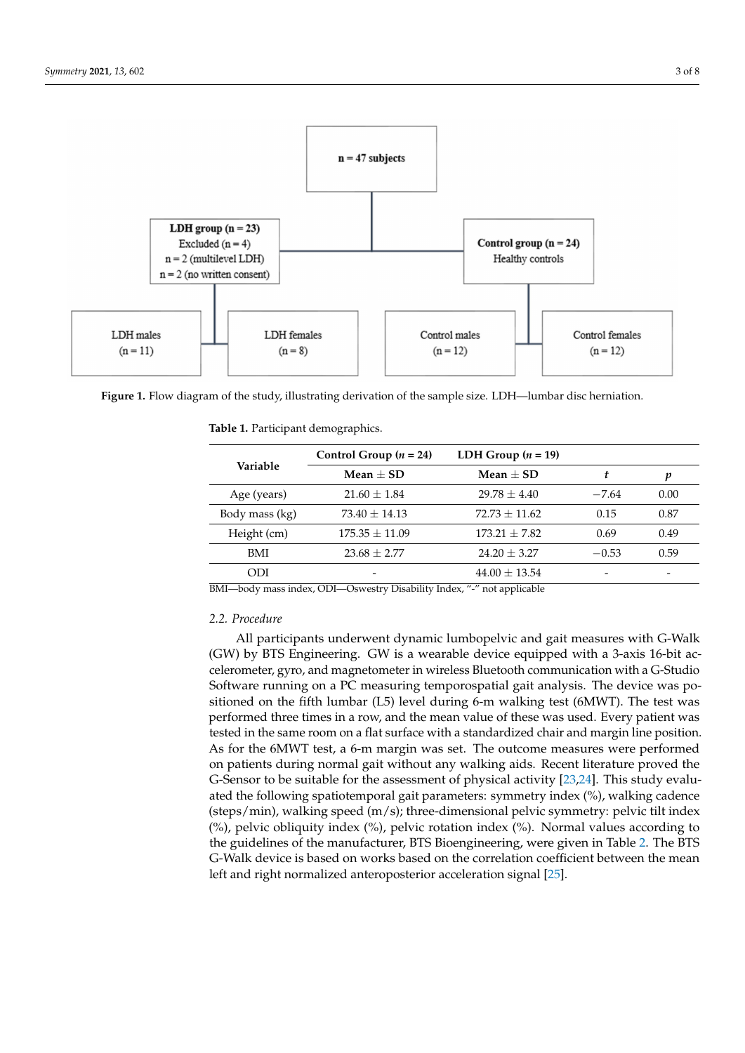<span id="page-2-0"></span>

**Figure 1.** Flow diagram of the study, illustrating derivation of the sample size. LDH—lumbar disc herniation.

| Variable       | Control Group $(n = 24)$ | LDH Group $(n = 19)$ |         |      |
|----------------|--------------------------|----------------------|---------|------|
|                | Mean $\pm$ SD            | Mean $+$ SD          | t       | p    |
| Age (years)    | $21.60 \pm 1.84$         | $29.78 + 4.40$       | $-7.64$ | 0.00 |
| Body mass (kg) | $73.40 \pm 14.13$        | $72.73 \pm 11.62$    | 0.15    | 0.87 |
| Height (cm)    | $175.35 \pm 11.09$       | $173.21 \pm 7.82$    | 0.69    | 0.49 |
| BMI            | $23.68 \pm 2.77$         | $24.20 \pm 3.27$     | $-0.53$ | 0.59 |
| ODI            |                          | $44.00 \pm 13.54$    |         |      |

<span id="page-2-1"></span>**Table 1.** Participant demographics.

BMI—body mass index, ODI—Oswestry Disability Index, "-" not applicable

### *2.2. Procedure*

All participants underwent dynamic lumbopelvic and gait measures with G-Walk (GW) by BTS Engineering. GW is a wearable device equipped with a 3-axis 16-bit accelerometer, gyro, and magnetometer in wireless Bluetooth communication with a G-Studio Software running on a PC measuring temporospatial gait analysis. The device was positioned on the fifth lumbar (L5) level during 6-m walking test (6MWT). The test was performed three times in a row, and the mean value of these was used. Every patient was tested in the same room on a flat surface with a standardized chair and margin line position. As for the 6MWT test, a 6-m margin was set. The outcome measures were performed on patients during normal gait without any walking aids. Recent literature proved the G-Sensor to be suitable for the assessment of physical activity [\[23](#page-6-17)[,24\]](#page-7-0). This study evaluated the following spatiotemporal gait parameters: symmetry index (%), walking cadence (steps/min), walking speed (m/s); three-dimensional pelvic symmetry: pelvic tilt index (%), pelvic obliquity index (%), pelvic rotation index (%). Normal values according to the guidelines of the manufacturer, BTS Bioengineering, were given in Table [2.](#page-3-0) The BTS G-Walk device is based on works based on the correlation coefficient between the mean left and right normalized anteroposterior acceleration signal [\[25\]](#page-7-1).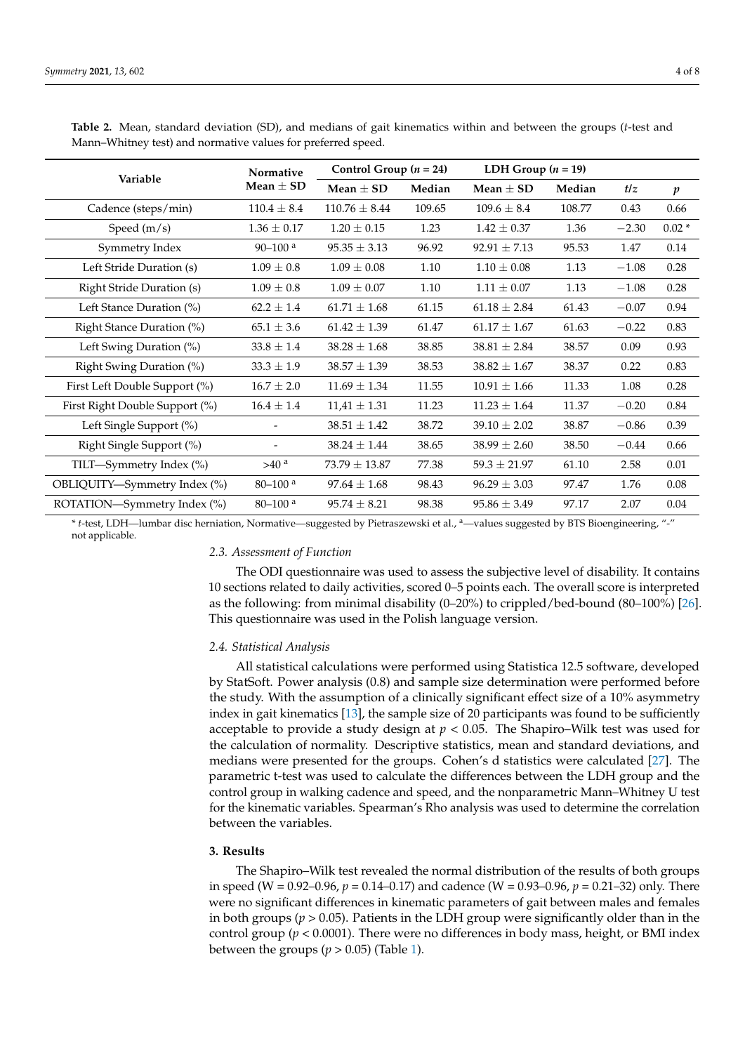|                                  | Normative                | Control Group $(n = 24)$ |        | LDH Group $(n = 19)$ |        |         |                  |
|----------------------------------|--------------------------|--------------------------|--------|----------------------|--------|---------|------------------|
| Variable                         | Mean $\pm$ SD            | Mean $\pm$ SD            | Median | Mean $\pm$ SD        | Median | t/z     | $\boldsymbol{p}$ |
| Cadence (steps/min)              | $110.4 \pm 8.4$          | $110.76 \pm 8.44$        | 109.65 | $109.6 \pm 8.4$      | 108.77 | 0.43    | 0.66             |
| Speed $(m/s)$                    | $1.36 \pm 0.17$          | $1.20 \pm 0.15$          | 1.23   | $1.42 \pm 0.37$      | 1.36   | $-2.30$ | $0.02*$          |
| Symmetry Index                   | $90 - 100$ <sup>a</sup>  | $95.35 \pm 3.13$         | 96.92  | $92.91 \pm 7.13$     | 95.53  | 1.47    | 0.14             |
| Left Stride Duration (s)         | $1.09 \pm 0.8$           | $1.09 \pm 0.08$          | 1.10   | $1.10 \pm 0.08$      | 1.13   | $-1.08$ | 0.28             |
| <b>Right Stride Duration (s)</b> | $1.09 \pm 0.8$           | $1.09 \pm 0.07$          | 1.10   | $1.11 \pm 0.07$      | 1.13   | $-1.08$ | 0.28             |
| Left Stance Duration (%)         | $62.2 \pm 1.4$           | $61.71 \pm 1.68$         | 61.15  | $61.18 \pm 2.84$     | 61.43  | $-0.07$ | 0.94             |
| Right Stance Duration (%)        | $65.1 \pm 3.6$           | $61.42 \pm 1.39$         | 61.47  | $61.17 \pm 1.67$     | 61.63  | $-0.22$ | 0.83             |
| Left Swing Duration (%)          | $33.8 \pm 1.4$           | $38.28 \pm 1.68$         | 38.85  | $38.81 \pm 2.84$     | 38.57  | 0.09    | 0.93             |
| Right Swing Duration (%)         | $33.3 \pm 1.9$           | $38.57 \pm 1.39$         | 38.53  | $38.82 \pm 1.67$     | 38.37  | 0.22    | 0.83             |
| First Left Double Support (%)    | $16.7 \pm 2.0$           | $11.69 \pm 1.34$         | 11.55  | $10.91 \pm 1.66$     | 11.33  | 1.08    | 0.28             |
| First Right Double Support (%)   | $16.4 \pm 1.4$           | $11,41 \pm 1.31$         | 11.23  | $11.23 \pm 1.64$     | 11.37  | $-0.20$ | 0.84             |
| Left Single Support (%)          |                          | $38.51 \pm 1.42$         | 38.72  | $39.10 \pm 2.02$     | 38.87  | $-0.86$ | 0.39             |
| Right Single Support (%)         | $\overline{\phantom{0}}$ | $38.24 \pm 1.44$         | 38.65  | $38.99 \pm 2.60$     | 38.50  | $-0.44$ | 0.66             |
| TILT-Symmetry Index (%)          | >40 <sup>a</sup>         | $73.79 \pm 13.87$        | 77.38  | $59.3 \pm 21.97$     | 61.10  | 2.58    | 0.01             |
| OBLIQUITY-Symmetry Index (%)     | $80 - 100$ <sup>a</sup>  | $97.64 \pm 1.68$         | 98.43  | $96.29 \pm 3.03$     | 97.47  | 1.76    | 0.08             |
| ROTATION—Symmetry Index (%)      | $80 - 100$ <sup>a</sup>  | $95.74 \pm 8.21$         | 98.38  | $95.86 \pm 3.49$     | 97.17  | 2.07    | 0.04             |

<span id="page-3-0"></span>**Table 2.** Mean, standard deviation (SD), and medians of gait kinematics within and between the groups (*t*-test and Mann–Whitney test) and normative values for preferred speed.

\* *t*-test, LDH—lumbar disc herniation, Normative—suggested by Pietraszewski et al., <sup>a</sup>—values suggested by BTS Bioengineering, "-" not applicable.

#### *2.3. Assessment of Function*

The ODI questionnaire was used to assess the subjective level of disability. It contains 10 sections related to daily activities, scored 0–5 points each. The overall score is interpreted as the following: from minimal disability (0–20%) to crippled/bed-bound (80–100%) [\[26\]](#page-7-2). This questionnaire was used in the Polish language version.

### *2.4. Statistical Analysis*

All statistical calculations were performed using Statistica 12.5 software, developed by StatSoft. Power analysis (0.8) and sample size determination were performed before the study. With the assumption of a clinically significant effect size of a 10% asymmetry index in gait kinematics [\[13\]](#page-6-8), the sample size of 20 participants was found to be sufficiently acceptable to provide a study design at  $p < 0.05$ . The Shapiro–Wilk test was used for the calculation of normality. Descriptive statistics, mean and standard deviations, and medians were presented for the groups. Cohen's d statistics were calculated [\[27\]](#page-7-3). The parametric t-test was used to calculate the differences between the LDH group and the control group in walking cadence and speed, and the nonparametric Mann–Whitney U test for the kinematic variables. Spearman's Rho analysis was used to determine the correlation between the variables.

# **3. Results**

The Shapiro–Wilk test revealed the normal distribution of the results of both groups in speed (W = 0.92–0.96, *p* = 0.14–0.17) and cadence (W = 0.93–0.96, *p* = 0.21–32) only. There were no significant differences in kinematic parameters of gait between males and females in both groups ( $p > 0.05$ ). Patients in the LDH group were significantly older than in the control group (*p* < 0.0001). There were no differences in body mass, height, or BMI index between the groups  $(p > 0.05)$  (Table [1\)](#page-2-1).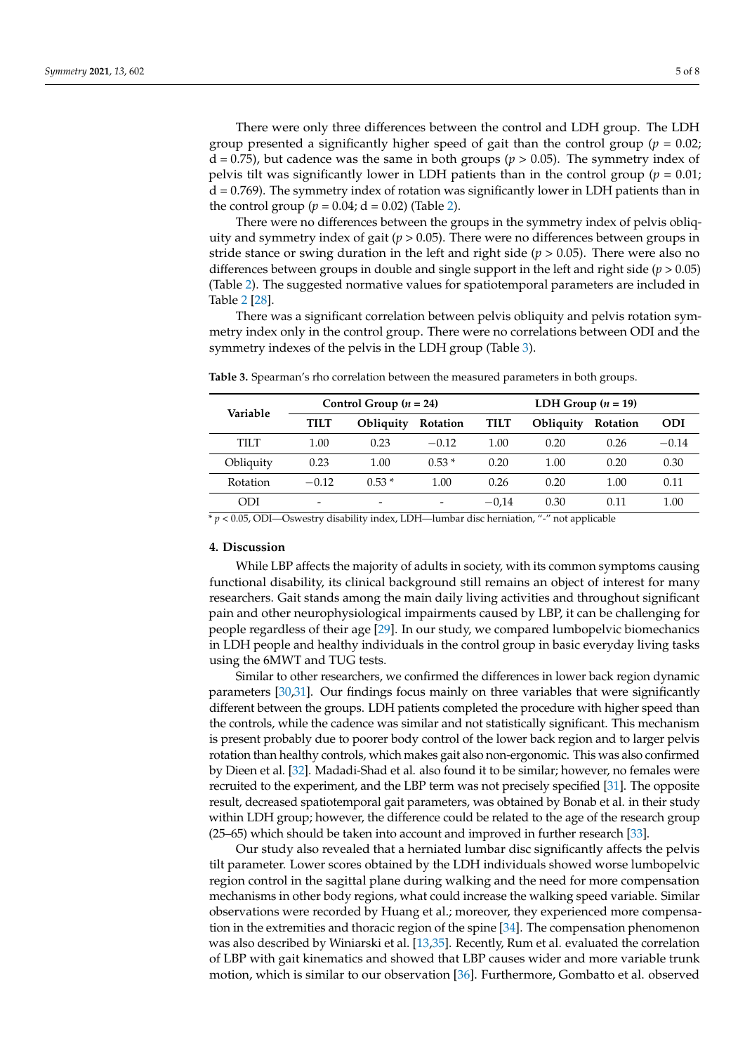There were only three differences between the control and LDH group. The LDH group presented a significantly higher speed of gait than the control group ( $p = 0.02$ );  $d = 0.75$ ), but cadence was the same in both groups ( $p > 0.05$ ). The symmetry index of pelvis tilt was significantly lower in LDH patients than in the control group ( $p = 0.01$ ;  $d = 0.769$ ). The symmetry index of rotation was significantly lower in LDH patients than in the control group ( $p = 0.04$ ;  $d = 0.02$ ) (Table [2\)](#page-3-0).

There were no differences between the groups in the symmetry index of pelvis obliquity and symmetry index of gait ( $p > 0.05$ ). There were no differences between groups in stride stance or swing duration in the left and right side ( $p > 0.05$ ). There were also no differences between groups in double and single support in the left and right side ( $p > 0.05$ ) (Table [2\)](#page-3-0). The suggested normative values for spatiotemporal parameters are included in Table [2](#page-3-0) [\[28\]](#page-7-4).

There was a significant correlation between pelvis obliquity and pelvis rotation symmetry index only in the control group. There were no correlations between ODI and the symmetry indexes of the pelvis in the LDH group (Table [3\)](#page-4-0).

| Variable  | Control Group $(n = 24)$ |           | LDH Group $(n = 19)$ |             |           |          |            |
|-----------|--------------------------|-----------|----------------------|-------------|-----------|----------|------------|
|           | <b>TILT</b>              | Obliquity | Rotation             | <b>TILT</b> | Obliquity | Rotation | <b>ODI</b> |
| TILT      | 1.00                     | 0.23      | $-0.12$              | 1.00        | 0.20      | 0.26     | $-0.14$    |
| Obliquity | 0.23                     | 1.00      | $0.53*$              | 0.20        | 1.00      | 0.20     | 0.30       |
| Rotation  | $-0.12$                  | $0.53*$   | 1.00                 | 0.26        | 0.20      | 1.00     | 0.11       |
| ODI       | -                        | -         |                      | $-0.14$     | 0.30      | 0.11     | 1.00       |

<span id="page-4-0"></span>**Table 3.** Spearman's rho correlation between the measured parameters in both groups.

\* *p* < 0.05, ODI—Oswestry disability index, LDH—lumbar disc herniation, "-" not applicable

# **4. Discussion**

While LBP affects the majority of adults in society, with its common symptoms causing functional disability, its clinical background still remains an object of interest for many researchers. Gait stands among the main daily living activities and throughout significant pain and other neurophysiological impairments caused by LBP, it can be challenging for people regardless of their age [\[29\]](#page-7-5). In our study, we compared lumbopelvic biomechanics in LDH people and healthy individuals in the control group in basic everyday living tasks using the 6MWT and TUG tests.

Similar to other researchers, we confirmed the differences in lower back region dynamic parameters [\[30,](#page-7-6)[31\]](#page-7-7). Our findings focus mainly on three variables that were significantly different between the groups. LDH patients completed the procedure with higher speed than the controls, while the cadence was similar and not statistically significant. This mechanism is present probably due to poorer body control of the lower back region and to larger pelvis rotation than healthy controls, which makes gait also non-ergonomic. This was also confirmed by Dieen et al. [\[32\]](#page-7-8). Madadi-Shad et al. also found it to be similar; however, no females were recruited to the experiment, and the LBP term was not precisely specified [\[31\]](#page-7-7). The opposite result, decreased spatiotemporal gait parameters, was obtained by Bonab et al. in their study within LDH group; however, the difference could be related to the age of the research group (25–65) which should be taken into account and improved in further research [\[33\]](#page-7-9).

Our study also revealed that a herniated lumbar disc significantly affects the pelvis tilt parameter. Lower scores obtained by the LDH individuals showed worse lumbopelvic region control in the sagittal plane during walking and the need for more compensation mechanisms in other body regions, what could increase the walking speed variable. Similar observations were recorded by Huang et al.; moreover, they experienced more compensation in the extremities and thoracic region of the spine [\[34\]](#page-7-10). The compensation phenomenon was also described by Winiarski et al. [\[13,](#page-6-8)[35\]](#page-7-11). Recently, Rum et al. evaluated the correlation of LBP with gait kinematics and showed that LBP causes wider and more variable trunk motion, which is similar to our observation [\[36\]](#page-7-12). Furthermore, Gombatto et al. observed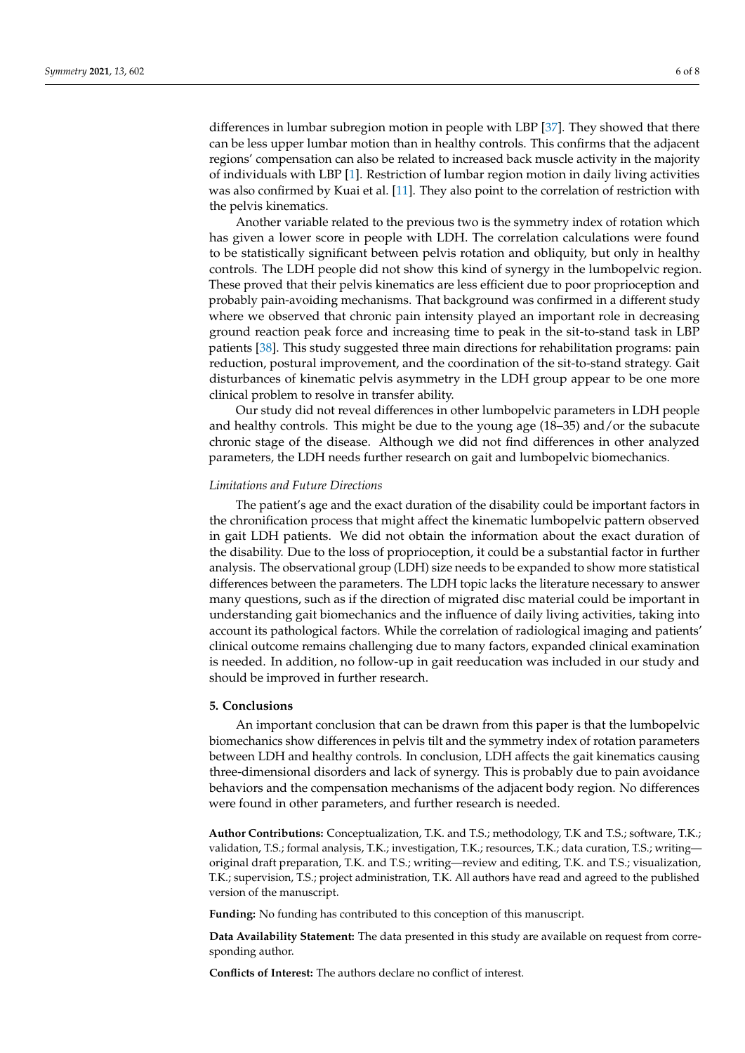differences in lumbar subregion motion in people with LBP [\[37\]](#page-7-13). They showed that there can be less upper lumbar motion than in healthy controls. This confirms that the adjacent regions' compensation can also be related to increased back muscle activity in the majority of individuals with LBP [\[1\]](#page-6-0). Restriction of lumbar region motion in daily living activities was also confirmed by Kuai et al. [\[11\]](#page-6-7). They also point to the correlation of restriction with the pelvis kinematics.

Another variable related to the previous two is the symmetry index of rotation which has given a lower score in people with LDH. The correlation calculations were found to be statistically significant between pelvis rotation and obliquity, but only in healthy controls. The LDH people did not show this kind of synergy in the lumbopelvic region. These proved that their pelvis kinematics are less efficient due to poor proprioception and probably pain-avoiding mechanisms. That background was confirmed in a different study where we observed that chronic pain intensity played an important role in decreasing ground reaction peak force and increasing time to peak in the sit-to-stand task in LBP patients [\[38\]](#page-7-14). This study suggested three main directions for rehabilitation programs: pain reduction, postural improvement, and the coordination of the sit-to-stand strategy. Gait disturbances of kinematic pelvis asymmetry in the LDH group appear to be one more clinical problem to resolve in transfer ability.

Our study did not reveal differences in other lumbopelvic parameters in LDH people and healthy controls. This might be due to the young age (18–35) and/or the subacute chronic stage of the disease. Although we did not find differences in other analyzed parameters, the LDH needs further research on gait and lumbopelvic biomechanics.

### *Limitations and Future Directions*

The patient's age and the exact duration of the disability could be important factors in the chronification process that might affect the kinematic lumbopelvic pattern observed in gait LDH patients. We did not obtain the information about the exact duration of the disability. Due to the loss of proprioception, it could be a substantial factor in further analysis. The observational group (LDH) size needs to be expanded to show more statistical differences between the parameters. The LDH topic lacks the literature necessary to answer many questions, such as if the direction of migrated disc material could be important in understanding gait biomechanics and the influence of daily living activities, taking into account its pathological factors. While the correlation of radiological imaging and patients' clinical outcome remains challenging due to many factors, expanded clinical examination is needed. In addition, no follow-up in gait reeducation was included in our study and should be improved in further research.

### **5. Conclusions**

An important conclusion that can be drawn from this paper is that the lumbopelvic biomechanics show differences in pelvis tilt and the symmetry index of rotation parameters between LDH and healthy controls. In conclusion, LDH affects the gait kinematics causing three-dimensional disorders and lack of synergy. This is probably due to pain avoidance behaviors and the compensation mechanisms of the adjacent body region. No differences were found in other parameters, and further research is needed.

**Author Contributions:** Conceptualization, T.K. and T.S.; methodology, T.K and T.S.; software, T.K.; validation, T.S.; formal analysis, T.K.; investigation, T.K.; resources, T.K.; data curation, T.S.; writing original draft preparation, T.K. and T.S.; writing—review and editing, T.K. and T.S.; visualization, T.K.; supervision, T.S.; project administration, T.K. All authors have read and agreed to the published version of the manuscript.

**Funding:** No funding has contributed to this conception of this manuscript.

**Data Availability Statement:** The data presented in this study are available on request from corresponding author.

**Conflicts of Interest:** The authors declare no conflict of interest.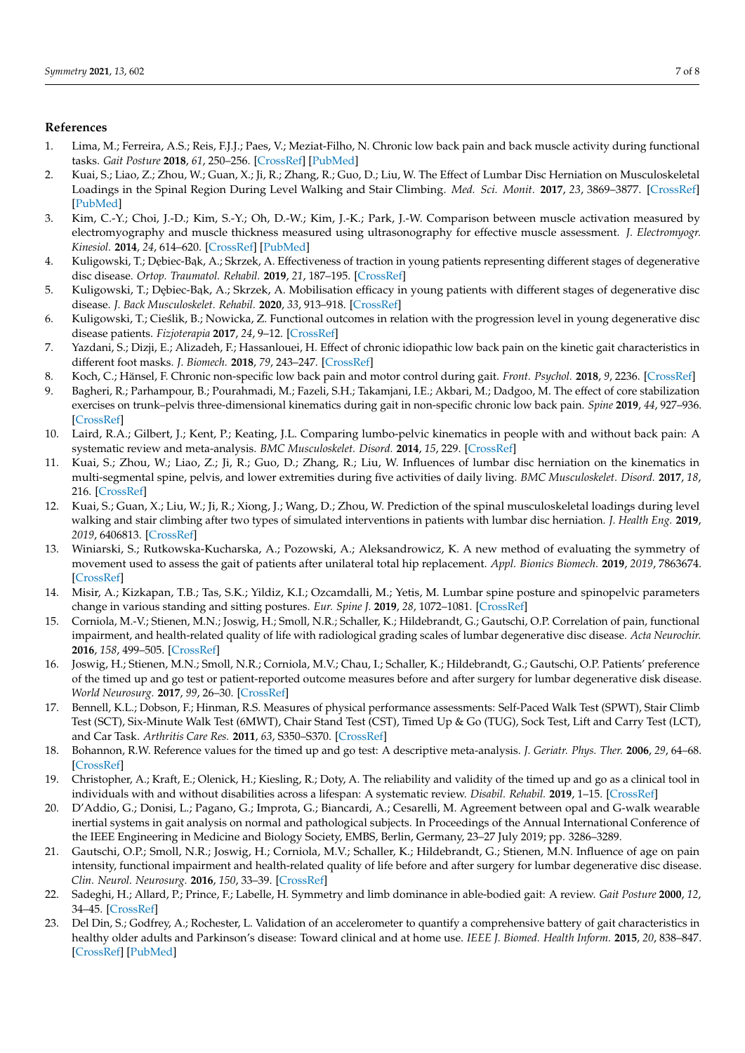# **References**

- <span id="page-6-0"></span>1. Lima, M.; Ferreira, A.S.; Reis, F.J.J.; Paes, V.; Meziat-Filho, N. Chronic low back pain and back muscle activity during functional tasks. *Gait Posture* **2018**, *61*, 250–256. [\[CrossRef\]](http://doi.org/10.1016/j.gaitpost.2018.01.021) [\[PubMed\]](http://www.ncbi.nlm.nih.gov/pubmed/29413793)
- <span id="page-6-1"></span>2. Kuai, S.; Liao, Z.; Zhou, W.; Guan, X.; Ji, R.; Zhang, R.; Guo, D.; Liu, W. The Effect of Lumbar Disc Herniation on Musculoskeletal Loadings in the Spinal Region During Level Walking and Stair Climbing. *Med. Sci. Monit.* **2017**, *23*, 3869–3877. [\[CrossRef\]](http://doi.org/10.12659/MSM.903349) [\[PubMed\]](http://www.ncbi.nlm.nih.gov/pubmed/28796755)
- <span id="page-6-2"></span>3. Kim, C.-Y.; Choi, J.-D.; Kim, S.-Y.; Oh, D.-W.; Kim, J.-K.; Park, J.-W. Comparison between muscle activation measured by electromyography and muscle thickness measured using ultrasonography for effective muscle assessment. *J. Electromyogr. Kinesiol.* **2014**, *24*, 614–620. [\[CrossRef\]](http://doi.org/10.1016/j.jelekin.2014.07.002) [\[PubMed\]](http://www.ncbi.nlm.nih.gov/pubmed/25088820)
- <span id="page-6-3"></span>4. Kuligowski, T.; Dębiec-Bąk, A.; Skrzek, A. Effectiveness of traction in young patients representing different stages of degenerative disc disease. *Ortop. Traumatol. Rehabil.* **2019**, *21*, 187–195. [\[CrossRef\]](http://doi.org/10.5604/01.3001.0013.2925)
- 5. Kuligowski, T.; Dębiec-Bąk, A.; Skrzek, A. Mobilisation efficacy in young patients with different stages of degenerative disc disease. *J. Back Musculoskelet. Rehabil.* **2020**, *33*, 913–918. [\[CrossRef\]](http://doi.org/10.3233/BMR-181219)
- <span id="page-6-4"></span>6. Kuligowski, T.; Cieślik, B.; Nowicka, Z. Functional outcomes in relation with the progression level in young degenerative disc disease patients. *Fizjoterapia* **2017**, *24*, 9–12. [\[CrossRef\]](http://doi.org/10.1515/physio-2016-0009)
- <span id="page-6-5"></span>7. Yazdani, S.; Dizji, E.; Alizadeh, F.; Hassanlouei, H. Effect of chronic idiopathic low back pain on the kinetic gait characteristics in different foot masks. *J. Biomech.* **2018**, *79*, 243–247. [\[CrossRef\]](http://doi.org/10.1016/j.jbiomech.2018.08.013)
- 8. Koch, C.; Hänsel, F. Chronic non-specific low back pain and motor control during gait. *Front. Psychol.* **2018**, *9*, 2236. [\[CrossRef\]](http://doi.org/10.3389/fpsyg.2018.02236)
- 9. Bagheri, R.; Parhampour, B.; Pourahmadi, M.; Fazeli, S.H.; Takamjani, I.E.; Akbari, M.; Dadgoo, M. The effect of core stabilization exercises on trunk–pelvis three-dimensional kinematics during gait in non-specific chronic low back pain. *Spine* **2019**, *44*, 927–936. [\[CrossRef\]](http://doi.org/10.1097/BRS.0000000000002981)
- <span id="page-6-9"></span>10. Laird, R.A.; Gilbert, J.; Kent, P.; Keating, J.L. Comparing lumbo-pelvic kinematics in people with and without back pain: A systematic review and meta-analysis. *BMC Musculoskelet. Disord.* **2014**, *15*, 229. [\[CrossRef\]](http://doi.org/10.1186/1471-2474-15-229)
- <span id="page-6-7"></span>11. Kuai, S.; Zhou, W.; Liao, Z.; Ji, R.; Guo, D.; Zhang, R.; Liu, W. Influences of lumbar disc herniation on the kinematics in multi-segmental spine, pelvis, and lower extremities during five activities of daily living. *BMC Musculoskelet. Disord.* **2017**, *18*, 216. [\[CrossRef\]](http://doi.org/10.1186/s12891-017-1572-7)
- <span id="page-6-6"></span>12. Kuai, S.; Guan, X.; Liu, W.; Ji, R.; Xiong, J.; Wang, D.; Zhou, W. Prediction of the spinal musculoskeletal loadings during level walking and stair climbing after two types of simulated interventions in patients with lumbar disc herniation. *J. Health Eng.* **2019**, *2019*, 6406813. [\[CrossRef\]](http://doi.org/10.1155/2019/6406813)
- <span id="page-6-8"></span>13. Winiarski, S.; Rutkowska-Kucharska, A.; Pozowski, A.; Aleksandrowicz, K. A new method of evaluating the symmetry of movement used to assess the gait of patients after unilateral total hip replacement. *Appl. Bionics Biomech.* **2019**, *2019*, 7863674. [\[CrossRef\]](http://doi.org/10.1155/2019/7863674)
- <span id="page-6-10"></span>14. Misir, A.; Kizkapan, T.B.; Tas, S.K.; Yildiz, K.I.; Ozcamdalli, M.; Yetis, M. Lumbar spine posture and spinopelvic parameters change in various standing and sitting postures. *Eur. Spine J.* **2019**, *28*, 1072–1081. [\[CrossRef\]](http://doi.org/10.1007/s00586-018-5846-z)
- <span id="page-6-11"></span>15. Corniola, M.-V.; Stienen, M.N.; Joswig, H.; Smoll, N.R.; Schaller, K.; Hildebrandt, G.; Gautschi, O.P. Correlation of pain, functional impairment, and health-related quality of life with radiological grading scales of lumbar degenerative disc disease. *Acta Neurochir.* **2016**, *158*, 499–505. [\[CrossRef\]](http://doi.org/10.1007/s00701-015-2700-5)
- <span id="page-6-12"></span>16. Joswig, H.; Stienen, M.N.; Smoll, N.R.; Corniola, M.V.; Chau, I.; Schaller, K.; Hildebrandt, G.; Gautschi, O.P. Patients' preference of the timed up and go test or patient-reported outcome measures before and after surgery for lumbar degenerative disk disease. *World Neurosurg.* **2017**, *99*, 26–30. [\[CrossRef\]](http://doi.org/10.1016/j.wneu.2016.11.039)
- <span id="page-6-13"></span>17. Bennell, K.L.; Dobson, F.; Hinman, R.S. Measures of physical performance assessments: Self-Paced Walk Test (SPWT), Stair Climb Test (SCT), Six-Minute Walk Test (6MWT), Chair Stand Test (CST), Timed Up & Go (TUG), Sock Test, Lift and Carry Test (LCT), and Car Task. *Arthritis Care Res.* **2011**, *63*, S350–S370. [\[CrossRef\]](http://doi.org/10.1002/acr.20538)
- 18. Bohannon, R.W. Reference values for the timed up and go test: A descriptive meta-analysis. *J. Geriatr. Phys. Ther.* **2006**, *29*, 64–68. [\[CrossRef\]](http://doi.org/10.1519/00139143-200608000-00004)
- 19. Christopher, A.; Kraft, E.; Olenick, H.; Kiesling, R.; Doty, A. The reliability and validity of the timed up and go as a clinical tool in individuals with and without disabilities across a lifespan: A systematic review. *Disabil. Rehabil.* **2019**, 1–15. [\[CrossRef\]](http://doi.org/10.1080/09638288.2019.1682066)
- <span id="page-6-14"></span>20. D'Addio, G.; Donisi, L.; Pagano, G.; Improta, G.; Biancardi, A.; Cesarelli, M. Agreement between opal and G-walk wearable inertial systems in gait analysis on normal and pathological subjects. In Proceedings of the Annual International Conference of the IEEE Engineering in Medicine and Biology Society, EMBS, Berlin, Germany, 23–27 July 2019; pp. 3286–3289.
- <span id="page-6-15"></span>21. Gautschi, O.P.; Smoll, N.R.; Joswig, H.; Corniola, M.V.; Schaller, K.; Hildebrandt, G.; Stienen, M.N. Influence of age on pain intensity, functional impairment and health-related quality of life before and after surgery for lumbar degenerative disc disease. *Clin. Neurol. Neurosurg.* **2016**, *150*, 33–39. [\[CrossRef\]](http://doi.org/10.1016/j.clineuro.2016.08.024)
- <span id="page-6-16"></span>22. Sadeghi, H.; Allard, P.; Prince, F.; Labelle, H. Symmetry and limb dominance in able-bodied gait: A review. *Gait Posture* **2000**, *12*, 34–45. [\[CrossRef\]](http://doi.org/10.1016/S0966-6362(00)00070-9)
- <span id="page-6-17"></span>23. Del Din, S.; Godfrey, A.; Rochester, L. Validation of an accelerometer to quantify a comprehensive battery of gait characteristics in healthy older adults and Parkinson's disease: Toward clinical and at home use. *IEEE J. Biomed. Health Inform.* **2015**, *20*, 838–847. [\[CrossRef\]](http://doi.org/10.1109/JBHI.2015.2419317) [\[PubMed\]](http://www.ncbi.nlm.nih.gov/pubmed/25850097)